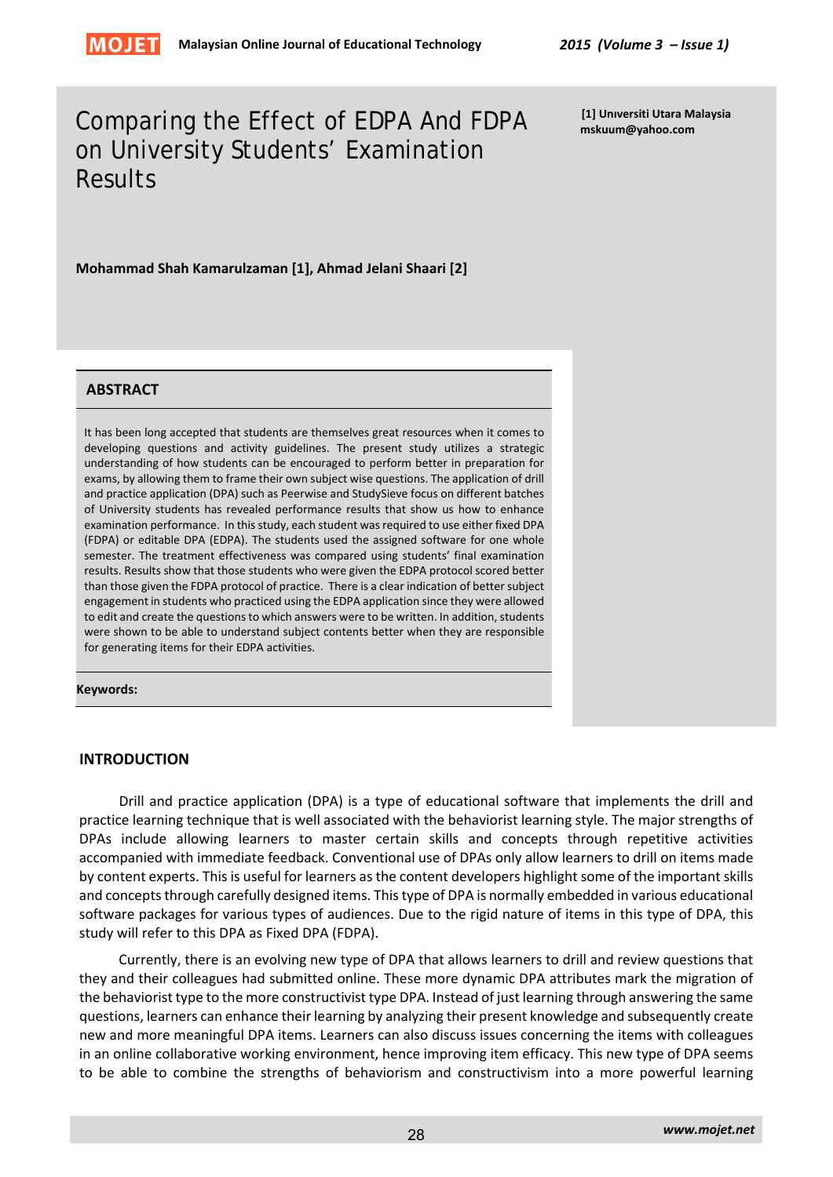

# Comparing the Effect of EDPA And FDPA on University Students' Examination **Results**

**[1] Unıversiti Utara Malaysia mskuum@yahoo.com**

**Mohammad Shah Kamarulzaman [1], Ahmad Jelani Shaari [2]** 

#### **ABSTRACT**

It has been long accepted that students are themselves great resources when it comes to developing questions and activity guidelines. The present study utilizes a strategic understanding of how students can be encouraged to perform better in preparation for exams, by allowing them to frame their own subject wise questions. The application of drill and practice application (DPA) such as Peerwise and StudySieve focus on different batches of University students has revealed performance results that show us how to enhance examination performance. In this study, each student was required to use either fixed DPA (FDPA) or editable DPA (EDPA). The students used the assigned software for one whole semester. The treatment effectiveness was compared using students' final examination results. Results show that those students who were given the EDPA protocol scored better than those given the FDPA protocol of practice. There is a clear indication of better subject engagement in students who practiced using the EDPA application since they were allowed to edit and create the questions to which answers were to be written. In addition, students were shown to be able to understand subject contents better when they are responsible for generating items for their EDPA activities.

#### **Keywords:**

#### **INTRODUCTION**

Drill and practice application (DPA) is a type of educational software that implements the drill and practice learning technique that is well associated with the behaviorist learning style. The major strengths of DPAs include allowing learners to master certain skills and concepts through repetitive activities accompanied with immediate feedback. Conventional use of DPAs only allow learners to drill on items made by content experts. This is useful for learners as the content developers highlight some of the important skills and concepts through carefully designed items. This type of DPA is normally embedded in various educational software packages for various types of audiences. Due to the rigid nature of items in this type of DPA, this study will refer to this DPA as Fixed DPA (FDPA).

Currently, there is an evolving new type of DPA that allows learners to drill and review questions that they and their colleagues had submitted online. These more dynamic DPA attributes mark the migration of the behaviorist type to the more constructivist type DPA. Instead of just learning through answering the same questions, learners can enhance their learning by analyzing their present knowledge and subsequently create new and more meaningful DPA items. Learners can also discuss issues concerning the items with colleagues in an online collaborative working environment, hence improving item efficacy. This new type of DPA seems to be able to combine the strengths of behaviorism and constructivism into a more powerful learning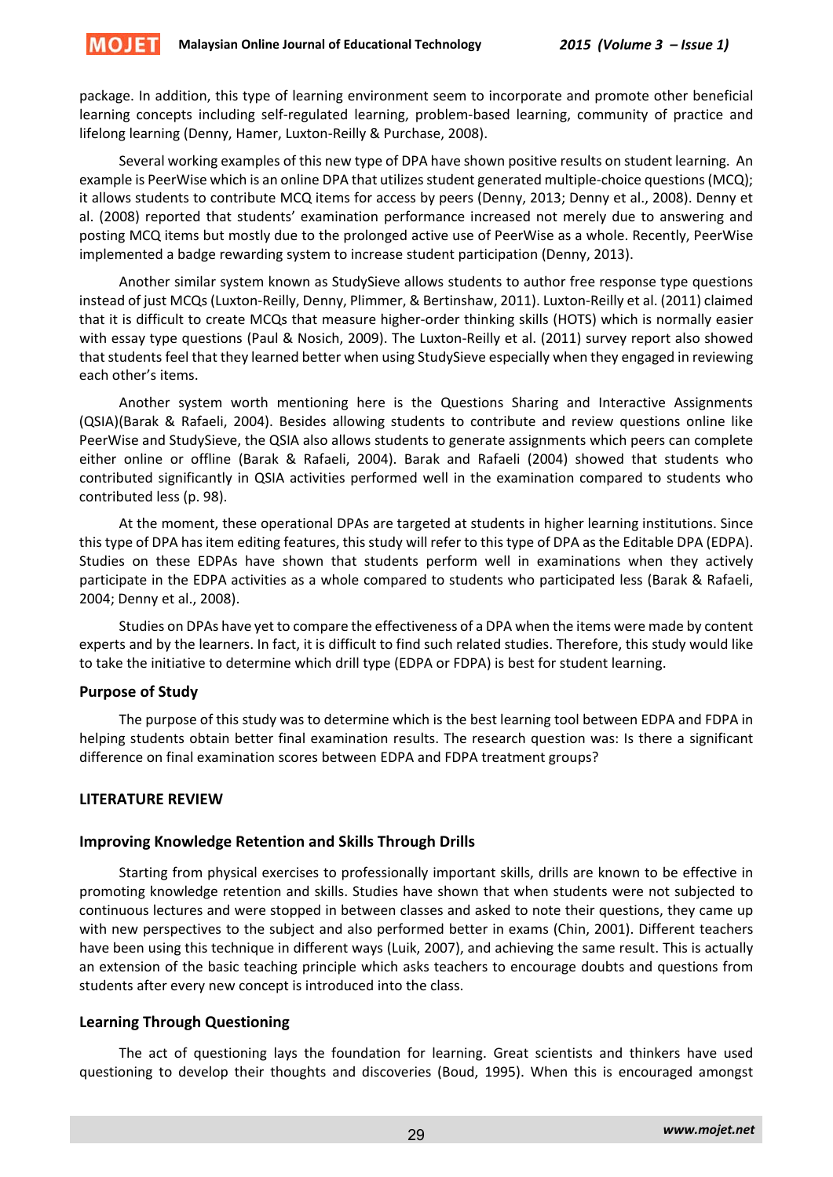package. In addition, this type of learning environment seem to incorporate and promote other beneficial learning concepts including self-regulated learning, problem-based learning, community of practice and lifelong learning (Denny, Hamer, Luxton‐Reilly & Purchase, 2008).

Several working examples of this new type of DPA have shown positive results on student learning. An example is PeerWise which is an online DPA that utilizes student generated multiple-choice questions (MCQ); it allows students to contribute MCQ items for access by peers (Denny, 2013; Denny et al., 2008). Denny et al. (2008) reported that students' examination performance increased not merely due to answering and posting MCQ items but mostly due to the prolonged active use of PeerWise as a whole. Recently, PeerWise implemented a badge rewarding system to increase student participation (Denny, 2013).

Another similar system known as StudySieve allows students to author free response type questions instead of just MCQs (Luxton‐Reilly, Denny, Plimmer, & Bertinshaw, 2011). Luxton‐Reilly et al. (2011) claimed that it is difficult to create MCQs that measure higher‐order thinking skills (HOTS) which is normally easier with essay type questions (Paul & Nosich, 2009). The Luxton-Reilly et al. (2011) survey report also showed that students feel that they learned better when using StudySieve especially when they engaged in reviewing each other's items.

Another system worth mentioning here is the Questions Sharing and Interactive Assignments (QSIA)(Barak & Rafaeli, 2004). Besides allowing students to contribute and review questions online like PeerWise and StudySieve, the QSIA also allows students to generate assignments which peers can complete either online or offline (Barak & Rafaeli, 2004). Barak and Rafaeli (2004) showed that students who contributed significantly in QSIA activities performed well in the examination compared to students who contributed less (p. 98).

At the moment, these operational DPAs are targeted at students in higher learning institutions. Since this type of DPA has item editing features, this study will refer to this type of DPA as the Editable DPA (EDPA). Studies on these EDPAs have shown that students perform well in examinations when they actively participate in the EDPA activities as a whole compared to students who participated less (Barak & Rafaeli, 2004; Denny et al., 2008).

Studies on DPAs have yet to compare the effectiveness of a DPA when the items were made by content experts and by the learners. In fact, it is difficult to find such related studies. Therefore, this study would like to take the initiative to determine which drill type (EDPA or FDPA) is best for student learning.

## **Purpose of Study**

**MOJET** 

The purpose of this study was to determine which is the best learning tool between EDPA and FDPA in helping students obtain better final examination results. The research question was: Is there a significant difference on final examination scores between EDPA and FDPA treatment groups?

## **LITERATURE REVIEW**

## **Improving Knowledge Retention and Skills Through Drills**

Starting from physical exercises to professionally important skills, drills are known to be effective in promoting knowledge retention and skills. Studies have shown that when students were not subjected to continuous lectures and were stopped in between classes and asked to note their questions, they came up with new perspectives to the subject and also performed better in exams (Chin, 2001). Different teachers have been using this technique in different ways (Luik, 2007), and achieving the same result. This is actually an extension of the basic teaching principle which asks teachers to encourage doubts and questions from students after every new concept is introduced into the class.

## **Learning Through Questioning**

The act of questioning lays the foundation for learning. Great scientists and thinkers have used questioning to develop their thoughts and discoveries (Boud, 1995). When this is encouraged amongst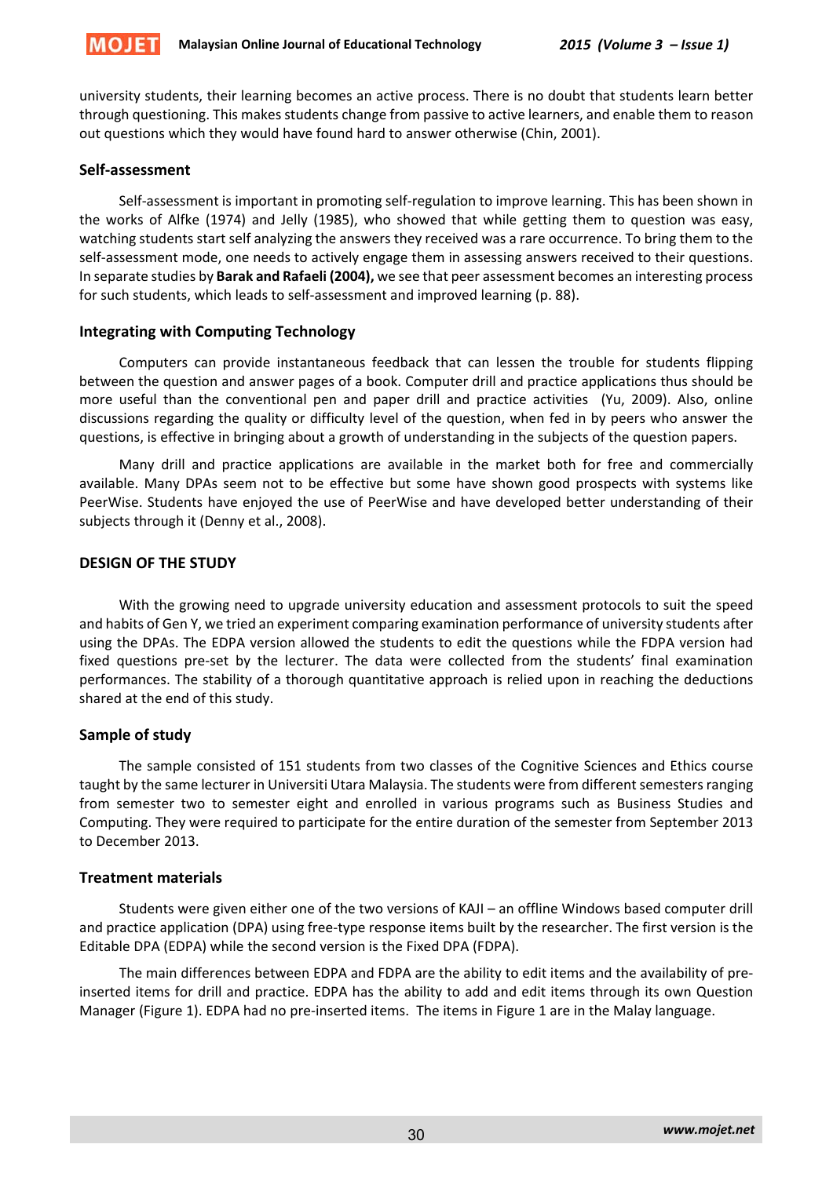

university students, their learning becomes an active process. There is no doubt that students learn better through questioning. This makes students change from passive to active learners, and enable them to reason out questions which they would have found hard to answer otherwise (Chin, 2001).

## **Self‐assessment**

Self‐assessment is important in promoting self‐regulation to improve learning. This has been shown in the works of Alfke (1974) and Jelly (1985), who showed that while getting them to question was easy, watching students start self analyzing the answers they received was a rare occurrence. To bring them to the self-assessment mode, one needs to actively engage them in assessing answers received to their questions. In separate studies by **Barak and Rafaeli (2004),** we see that peer assessment becomes an interesting process for such students, which leads to self‐assessment and improved learning (p. 88).

## **Integrating with Computing Technology**

Computers can provide instantaneous feedback that can lessen the trouble for students flipping between the question and answer pages of a book. Computer drill and practice applications thus should be more useful than the conventional pen and paper drill and practice activities (Yu, 2009). Also, online discussions regarding the quality or difficulty level of the question, when fed in by peers who answer the questions, is effective in bringing about a growth of understanding in the subjects of the question papers.

Many drill and practice applications are available in the market both for free and commercially available. Many DPAs seem not to be effective but some have shown good prospects with systems like PeerWise. Students have enjoyed the use of PeerWise and have developed better understanding of their subjects through it (Denny et al., 2008).

## **DESIGN OF THE STUDY**

With the growing need to upgrade university education and assessment protocols to suit the speed and habits of Gen Y, we tried an experiment comparing examination performance of university students after using the DPAs. The EDPA version allowed the students to edit the questions while the FDPA version had fixed questions pre-set by the lecturer. The data were collected from the students' final examination performances. The stability of a thorough quantitative approach is relied upon in reaching the deductions shared at the end of this study.

## **Sample of study**

The sample consisted of 151 students from two classes of the Cognitive Sciences and Ethics course taught by the same lecturer in Universiti Utara Malaysia. The students were from different semesters ranging from semester two to semester eight and enrolled in various programs such as Business Studies and Computing. They were required to participate for the entire duration of the semester from September 2013 to December 2013.

## **Treatment materials**

Students were given either one of the two versions of KAJI – an offline Windows based computer drill and practice application (DPA) using free‐type response items built by the researcher. The first version is the Editable DPA (EDPA) while the second version is the Fixed DPA (FDPA).

The main differences between EDPA and FDPA are the ability to edit items and the availability of pre‐ inserted items for drill and practice. EDPA has the ability to add and edit items through its own Question Manager (Figure 1). EDPA had no pre‐inserted items. The items in Figure 1 are in the Malay language.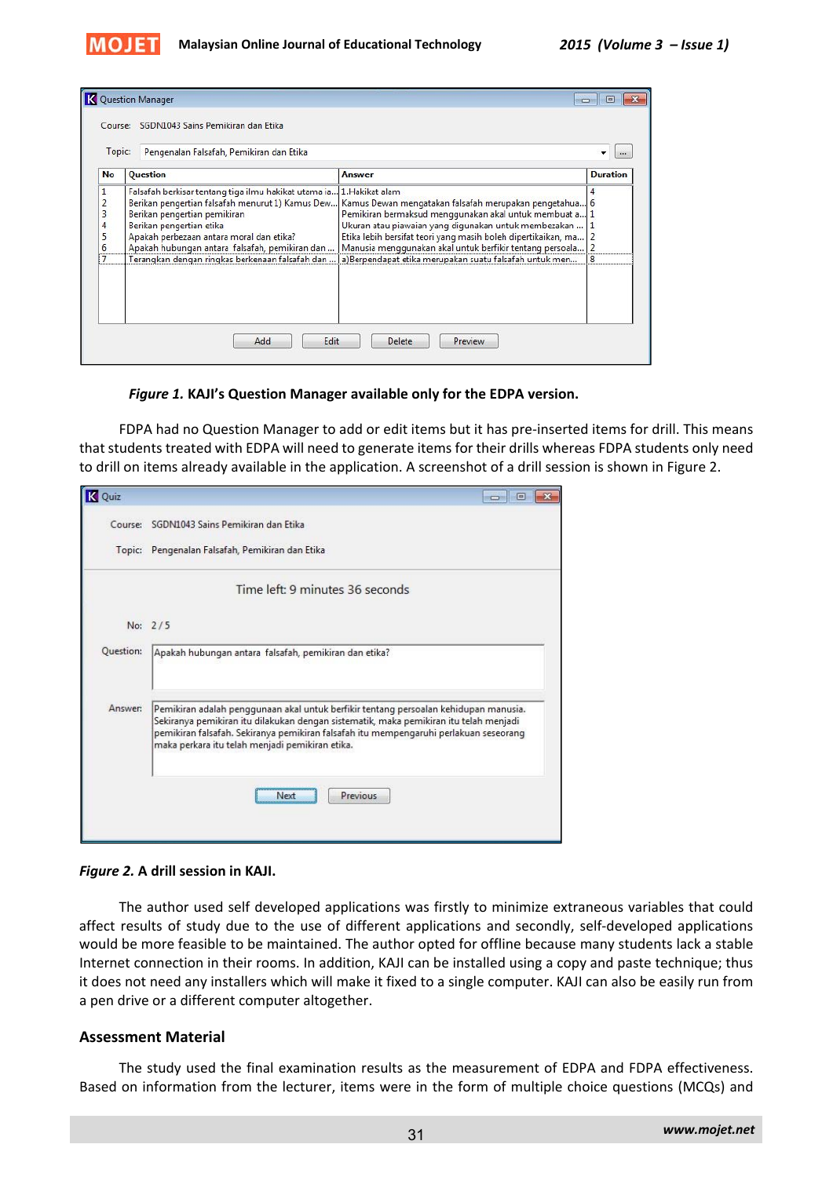

|                                  |                                                                                                                                                                                                                                                                                                                                       |                                                                                                                                                                                                                                                                                                                                                                 | <b>Duration</b> |  |
|----------------------------------|---------------------------------------------------------------------------------------------------------------------------------------------------------------------------------------------------------------------------------------------------------------------------------------------------------------------------------------|-----------------------------------------------------------------------------------------------------------------------------------------------------------------------------------------------------------------------------------------------------------------------------------------------------------------------------------------------------------------|-----------------|--|
| No                               | <b>Question</b>                                                                                                                                                                                                                                                                                                                       | <b>Answer</b>                                                                                                                                                                                                                                                                                                                                                   |                 |  |
| $\mathbf{1}$<br>3<br>4<br>5<br>6 | Falsafah berkisar tentang tiga ilmu hakikat utama ia 1. Hakikat alam<br>Berikan pengertian falsafah menurut 1) Kamus Dew<br>Berikan pengertian pemikiran<br>Berikan pengertian etika<br>Apakah perbezaan antara moral dan etika?<br>Apakah hubungan antara falsafah, pemikiran dan<br>Terangkan dengan ringkas berkenaan falsafah dan | Kamus Dewan mengatakan falsafah merupakan pengetahua 6<br>Pemikiran bermaksud menggunakan akal untuk membuat a 1<br>Ukuran atau piawaian yang digunakan untuk membezakan<br>Etika lebih bersifat teori yang masih boleh dipertikaikan, ma<br>Manusia menggunakan akal untuk berfikir tentang persoala<br>a)Berpendapat etika merupakan suatu falsafah untuk men |                 |  |

#### *Figure 1.* **KAJI's Question Manager available only for the EDPA version.**

FDPA had no Question Manager to add or edit items but it has pre‐inserted items for drill. This means that students treated with EDPA will need to generate items for their drills whereas FDPA students only need to drill on items already available in the application. A screenshot of a drill session is shown in Figure 2.

| K Quiz    |                                                                                                                                                                                                                                                                                                                           |
|-----------|---------------------------------------------------------------------------------------------------------------------------------------------------------------------------------------------------------------------------------------------------------------------------------------------------------------------------|
|           | Course: SGDN1043 Sains Pemikiran dan Etika                                                                                                                                                                                                                                                                                |
|           | Topic: Pengenalan Falsafah, Pemikiran dan Etika                                                                                                                                                                                                                                                                           |
|           | Time left: 9 minutes 36 seconds                                                                                                                                                                                                                                                                                           |
|           | No: 2/5                                                                                                                                                                                                                                                                                                                   |
| Question: | Apakah hubungan antara falsafah, pemikiran dan etika?                                                                                                                                                                                                                                                                     |
| Answer:   | Pemikiran adalah penggunaan akal untuk berfikir tentang persoalan kehidupan manusia.<br>Sekiranya pemikiran itu dilakukan dengan sistematik, maka pemikiran itu telah menjadi<br>pemikiran falsafah. Sekiranya pemikiran falsafah itu mempengaruhi perlakuan seseorang<br>maka perkara itu telah menjadi pemikiran etika. |
|           | Previous<br>Next                                                                                                                                                                                                                                                                                                          |

## *Figure 2.* **A drill session in KAJI.**

The author used self developed applications was firstly to minimize extraneous variables that could affect results of study due to the use of different applications and secondly, self‐developed applications would be more feasible to be maintained. The author opted for offline because many students lack a stable Internet connection in their rooms. In addition, KAJI can be installed using a copy and paste technique; thus it does not need any installers which will make it fixed to a single computer. KAJI can also be easily run from a pen drive or a different computer altogether.

## **Assessment Material**

The study used the final examination results as the measurement of EDPA and FDPA effectiveness. Based on information from the lecturer, items were in the form of multiple choice questions (MCQs) and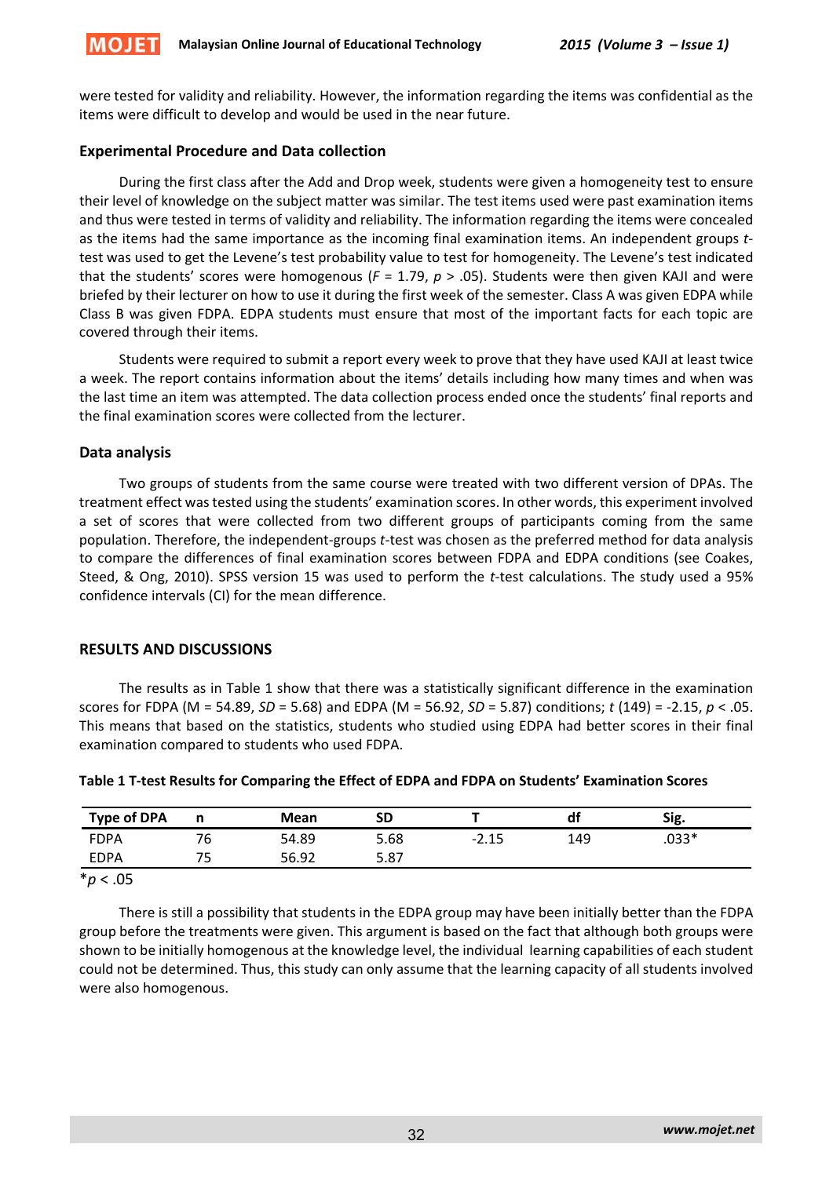

were tested for validity and reliability. However, the information regarding the items was confidential as the items were difficult to develop and would be used in the near future.

# **Experimental Procedure and Data collection**

During the first class after the Add and Drop week, students were given a homogeneity test to ensure their level of knowledge on the subject matter was similar. The test items used were past examination items and thus were tested in terms of validity and reliability. The information regarding the items were concealed as the items had the same importance as the incoming final examination items. An independent groups *t*‐ test was used to get the Levene's test probability value to test for homogeneity. The Levene's test indicated that the students' scores were homogenous ( $F = 1.79$ ,  $p > .05$ ). Students were then given KAJI and were briefed by their lecturer on how to use it during the first week of the semester. Class A was given EDPA while Class B was given FDPA. EDPA students must ensure that most of the important facts for each topic are covered through their items.

Students were required to submit a report every week to prove that they have used KAJI at least twice a week. The report contains information about the items' details including how many times and when was the last time an item was attempted. The data collection process ended once the students' final reports and the final examination scores were collected from the lecturer.

## **Data analysis**

Two groups of students from the same course were treated with two different version of DPAs. The treatment effect wastested using the students' examination scores. In other words, this experiment involved a set of scores that were collected from two different groups of participants coming from the same population. Therefore, the independent‐groups *t*‐test was chosen as the preferred method for data analysis to compare the differences of final examination scores between FDPA and EDPA conditions (see Coakes, Steed, & Ong, 2010). SPSS version 15 was used to perform the *t*-test calculations. The study used a 95% confidence intervals (CI) for the mean difference.

## **RESULTS AND DISCUSSIONS**

The results as in Table 1 show that there was a statistically significant difference in the examination scores for FDPA (M = 54.89, *SD* = 5.68) and EDPA (M = 56.92, *SD* = 5.87) conditions; *t* (149) = ‐2.15, *p* < .05. This means that based on the statistics, students who studied using EDPA had better scores in their final examination compared to students who used FDPA.

| <b>Type of DPA</b> |    | Mean  | SD   |         | df  | Sig.    |
|--------------------|----|-------|------|---------|-----|---------|
| FDPA               | 76 | 54.89 | 5.68 | $-2.15$ | 149 | $.033*$ |
| <b>EDPA</b>        | 75 | 56.92 | 5.87 |         |     |         |
| $*_{n}$            |    |       |      |         |     |         |

## **Table 1 T‐test Results for Comparing the Effect of EDPA and FDPA on Students' Examination Scores**

\**p* < .05

There is still a possibility that students in the EDPA group may have been initially better than the FDPA group before the treatments were given. This argument is based on the fact that although both groups were shown to be initially homogenous at the knowledge level, the individual learning capabilities of each student could not be determined. Thus, this study can only assume that the learning capacity of all students involved were also homogenous.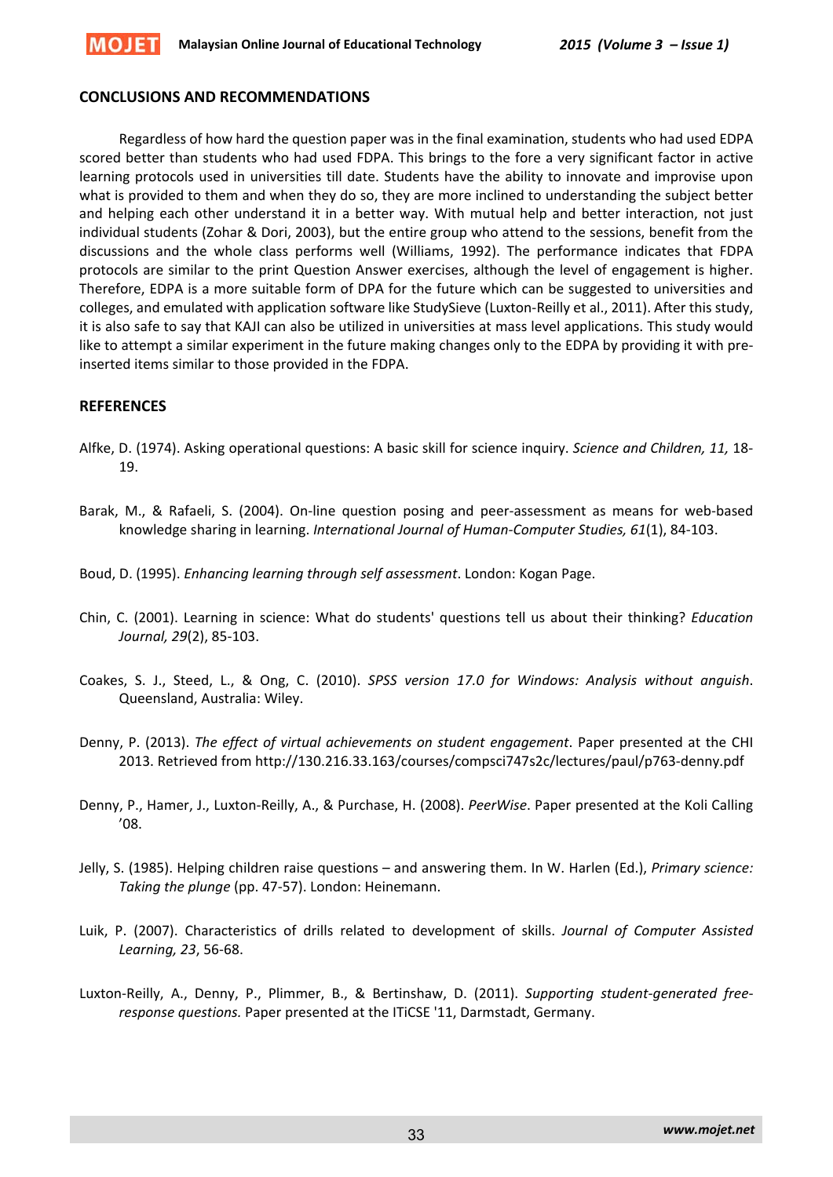

#### **CONCLUSIONS AND RECOMMENDATIONS**

Regardless of how hard the question paper was in the final examination, students who had used EDPA scored better than students who had used FDPA. This brings to the fore a very significant factor in active learning protocols used in universities till date. Students have the ability to innovate and improvise upon what is provided to them and when they do so, they are more inclined to understanding the subject better and helping each other understand it in a better way. With mutual help and better interaction, not just individual students (Zohar & Dori, 2003), but the entire group who attend to the sessions, benefit from the discussions and the whole class performs well (Williams, 1992). The performance indicates that FDPA protocols are similar to the print Question Answer exercises, although the level of engagement is higher. Therefore, EDPA is a more suitable form of DPA for the future which can be suggested to universities and colleges, and emulated with application software like StudySieve (Luxton‐Reilly et al., 2011). After this study, it is also safe to say that KAJI can also be utilized in universities at mass level applications. This study would like to attempt a similar experiment in the future making changes only to the EDPA by providing it with pre‐ inserted items similar to those provided in the FDPA.

## **REFERENCES**

- Alfke, D. (1974). Asking operational questions: A basic skill for science inquiry. *Science and Children, 11,* 18‐ 19.
- Barak, M., & Rafaeli, S. (2004). On‐line question posing and peer‐assessment as means for web‐based knowledge sharing in learning. *International Journal of Human‐Computer Studies, 61*(1), 84‐103.
- Boud, D. (1995). *Enhancing learning through self assessment*. London: Kogan Page.
- Chin, C. (2001). Learning in science: What do students' questions tell us about their thinking? *Education Journal, 29*(2), 85‐103.
- Coakes, S. J., Steed, L., & Ong, C. (2010). *SPSS version 17.0 for Windows: Analysis without anguish*. Queensland, Australia: Wiley.
- Denny, P. (2013). *The effect of virtual achievements on student engagement*. Paper presented at the CHI 2013. Retrieved from http://130.216.33.163/courses/compsci747s2c/lectures/paul/p763‐denny.pdf
- Denny, P., Hamer, J., Luxton‐Reilly, A., & Purchase, H. (2008). *PeerWise*. Paper presented at the Koli Calling '08.
- Jelly, S. (1985). Helping children raise questions and answering them. In W. Harlen (Ed.), *Primary science: Taking the plunge* (pp. 47‐57). London: Heinemann.
- Luik, P. (2007). Characteristics of drills related to development of skills. *Journal of Computer Assisted Learning, 23*, 56‐68.
- Luxton‐Reilly, A., Denny, P., Plimmer, B., & Bertinshaw, D. (2011). *Supporting student‐generated free‐ response questions.* Paper presented at the ITiCSE '11, Darmstadt, Germany.